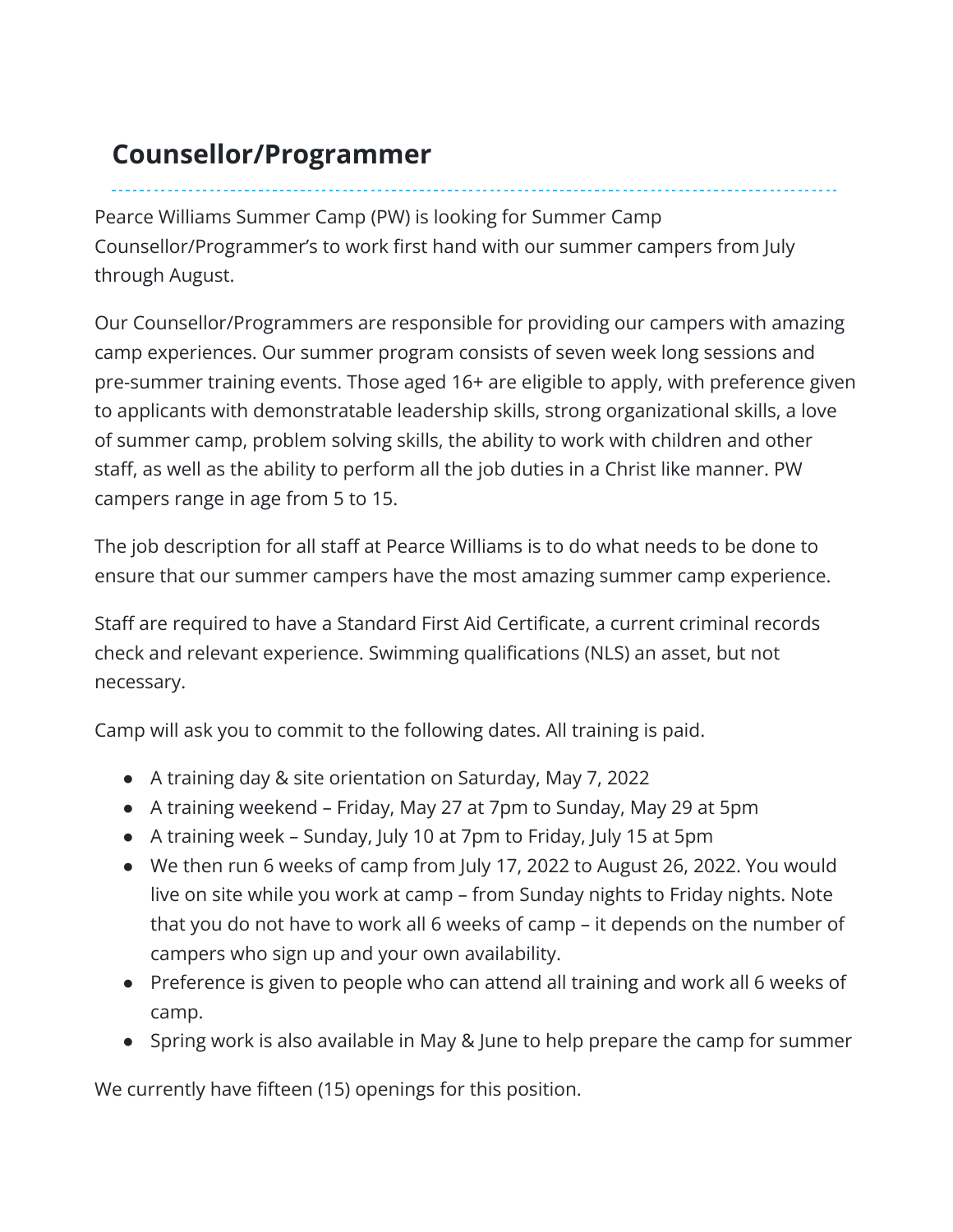## **Counsellor/Programmer**

Pearce Williams Summer Camp (PW) is looking for Summer Camp Counsellor/Programmer's to work first hand with our summer campers from July through August.

Our Counsellor/Programmers are responsible for providing our campers with amazing camp experiences. Our summer program consists of seven week long sessions and pre-summer training events. Those aged 16+ are eligible to apply, with preference given to applicants with demonstratable leadership skills, strong organizational skills, a love of summer camp, problem solving skills, the ability to work with children and other staff, as well as the ability to perform all the job duties in a Christ like manner. PW campers range in age from 5 to 15.

The job description for all staff at Pearce Williams is to do what needs to be done to ensure that our summer campers have the most amazing summer camp experience.

Staff are required to have a Standard First Aid Certificate, a current criminal records check and relevant experience. Swimming qualifications (NLS) an asset, but not necessary.

Camp will ask you to commit to the following dates. All training is paid.

- A training day & site orientation on Saturday, May 7, 2022
- A training weekend Friday, May 27 at 7pm to Sunday, May 29 at 5pm
- A training week Sunday, July 10 at 7pm to Friday, July 15 at 5pm
- We then run 6 weeks of camp from July 17, 2022 to August 26, 2022. You would live on site while you work at camp – from Sunday nights to Friday nights. Note that you do not have to work all 6 weeks of camp – it depends on the number of campers who sign up and your own availability.
- Preference is given to people who can attend all training and work all 6 weeks of camp.
- Spring work is also available in May & June to help prepare the camp for summer

We currently have fifteen (15) openings for this position.